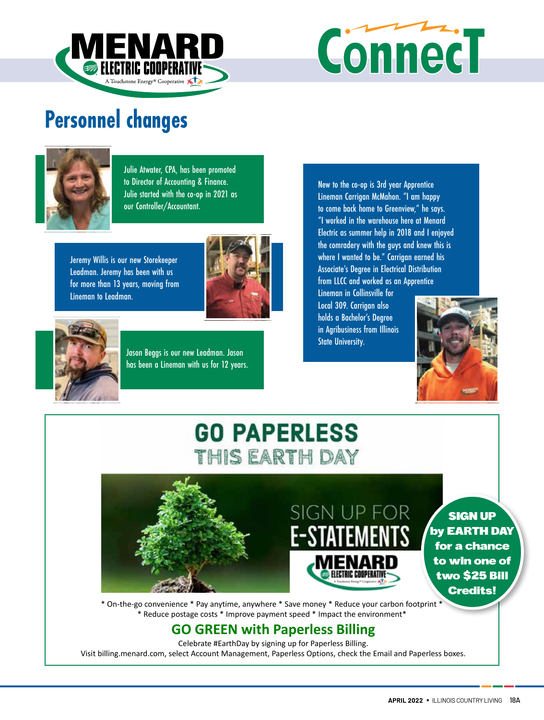



### **Personnel changes**



Julie Atwater, CPA, has been promoted to Director of Accounting & Finance. Julie started with the co-op in 2021 as our Controller/Accountant.

Jeremy Willis is our new Storekeeper Leadman. Jeremy has been with us for more than 13 years, moving from Lineman to Leadman.





Jason Beggs is our new Leadman. Jason has been a Lineman with us for 12 years.

New to the co-op is 3rd year Apprentice Lineman Carrigan McMahon. "I am happy to come back home to Greenview," he says. "I worked in the warehouse here at Menard Electric as summer help in 2018 and I enjoyed the comradery with the guys and knew this is where I wanted to be." Carrigan earned his Associate's Degree in Electrical Distribution from LLCC and worked as an Apprentice

Lineman in Collinsville for Local 309. Carrigan also holds a Bachelor's Degree in Agribusiness from Illinois State University.



### **GO PAPERLESS** THIS EARTH DAY



SIGN UP **by EARTH DAY** for a chance to win one of two \$25 Bill Credits!

\* On-the-go convenience \* Pay anytime, anywhere \* Save money \* Reduce your carbon footprint \* \* Reduce postage costs \* Improve payment speed \* Impact the environment\*

#### **GO GREEN with Paperless Billing**

Celebrate #EarthDay by signing up for Paperless Billing. Visit billing.menard.com, select Account Management, Paperless Options, check the Email and Paperless boxes.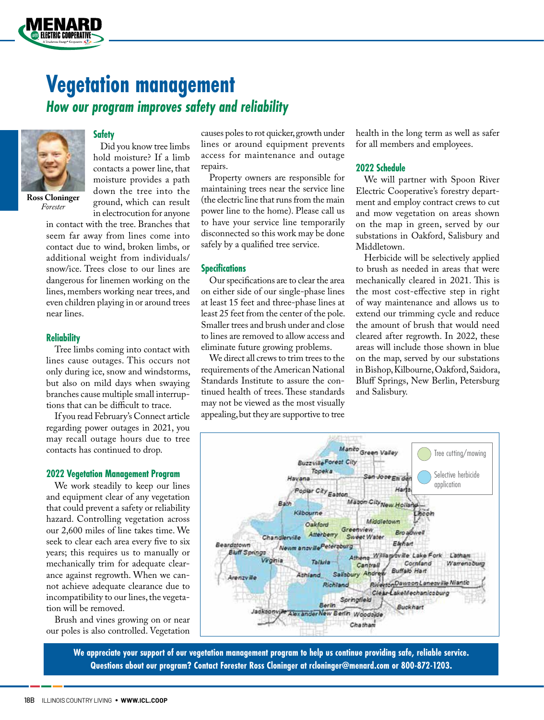### **Vegetation management**  *How our program improves safety and reliability*



**ELECTRIC COOPERATIVI** 

*Forester*

#### **Safety**

 Did you know tree limbs hold moisture? If a limb contacts a power line, that moisture provides a path down the tree into the ground, which can result in electrocution for anyone

in contact with the tree. Branches that seem far away from lines come into contact due to wind, broken limbs, or additional weight from individuals/ snow/ice. Trees close to our lines are dangerous for linemen working on the lines, members working near trees, and even children playing in or around trees near lines.

#### **Reliability**

Tree limbs coming into contact with lines cause outages. This occurs not only during ice, snow and windstorms, but also on mild days when swaying branches cause multiple small interruptions that can be difficult to trace.

If you read February's Connect article regarding power outages in 2021, you may recall outage hours due to tree contacts has continued to drop.

#### **2022 Vegetation Management Program**

We work steadily to keep our lines and equipment clear of any vegetation that could prevent a safety or reliability hazard. Controlling vegetation across our 2,600 miles of line takes time. We seek to clear each area every five to six years; this requires us to manually or mechanically trim for adequate clearance against regrowth. When we cannot achieve adequate clearance due to incompatibility to our lines, the vegetation will be removed.

Brush and vines growing on or near our poles is also controlled. Vegetation

causes poles to rot quicker, growth under lines or around equipment prevents access for maintenance and outage repairs.

Property owners are responsible for maintaining trees near the service line (the electric line that runs from the main power line to the home). Please call us to have your service line temporarily disconnected so this work may be done safely by a qualified tree service.

#### **Specifications**

Our specifications are to clear the area on either side of our single-phase lines at least 15 feet and three-phase lines at least 25 feet from the center of the pole. Smaller trees and brush under and close to lines are removed to allow access and eliminate future growing problems.

We direct all crews to trim trees to the requirements of the American National Standards Institute to assure the continued health of trees. These standards may not be viewed as the most visually appealing, but they are supportive to tree

health in the long term as well as safer for all members and employees.

#### **2022 Schedule**

We will partner with Spoon River Electric Cooperative's forestry department and employ contract crews to cut and mow vegetation on areas shown on the map in green, served by our substations in Oakford, Salisbury and Middletown.

Herbicide will be selectively applied to brush as needed in areas that were mechanically cleared in 2021. This is the most cost-effective step in right of way maintenance and allows us to extend our trimming cycle and reduce the amount of brush that would need cleared after regrowth. In 2022, these areas will include those shown in blue on the map, served by our substations in Bishop, Kilbourne, Oakford, Saidora, Bluff Springs, New Berlin, Petersburg and Salisbury.



**We appreciate your support of our vegetation management program to help us continue providing safe, reliable service. Questions about our program? Contact Forester Ross Cloninger at rcloninger@menard.com or 800-872-1203.**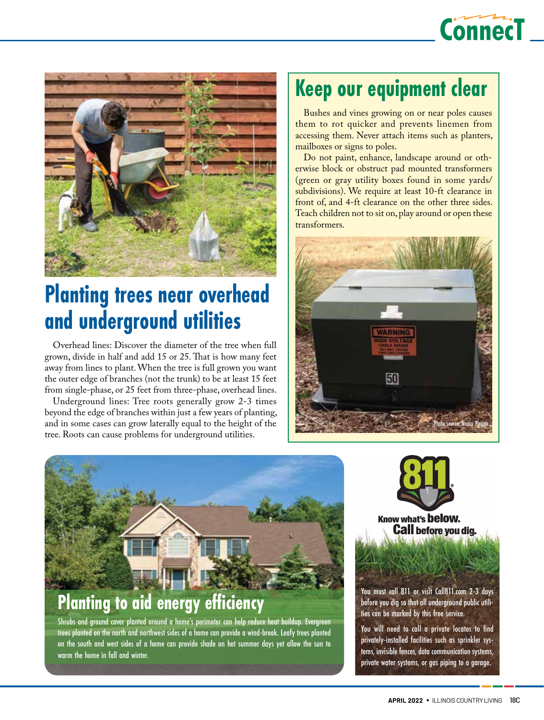



### **Planting trees near overhead and underground utilities**

Overhead lines: Discover the diameter of the tree when full grown, divide in half and add 15 or 25. That is how many feet away from lines to plant. When the tree is full grown you want the outer edge of branches (not the trunk) to be at least 15 feet from single-phase, or 25 feet from three-phase, overhead lines.

Underground lines: Tree roots generally grow 2-3 times beyond the edge of branches within just a few years of planting, and in some cases can grow laterally equal to the height of the tree. Roots can cause problems for underground utilities.

### **Keep our equipment clear**

Bushes and vines growing on or near poles causes them to rot quicker and prevents linemen from accessing them. Never attach items such as planters, mailboxes or signs to poles.

Do not paint, enhance, landscape around or otherwise block or obstruct pad mounted transformers (green or gray utility boxes found in some yards/ subdivisions). We require at least 10-ft clearance in front of, and 4-ft clearance on the other three sides. Teach children not to sit on, play around or open these transformers.





### **Planting to aid energy efficiency**

Shrubs and ground cover planted around a home's perimeter can help reduce heat buildup. Evergreen trees planted on the north and northwest sides of a home can provide a wind-break. Leafy trees planted on the south and west sides of a home can provide shade on hot summer days yet allow the sun to warm the home in fall and winter.



**Know what's below. Call before you dig.** 

You must call 811 or visit Call811.com 2-3 days before you dig so that all underground public utilities can be marked by this free service.

You will need to call a private locator to find privately-installed facilities such as sprinkler systems, invisible fences, data communication systems, private water systems, or gas piping to a garage.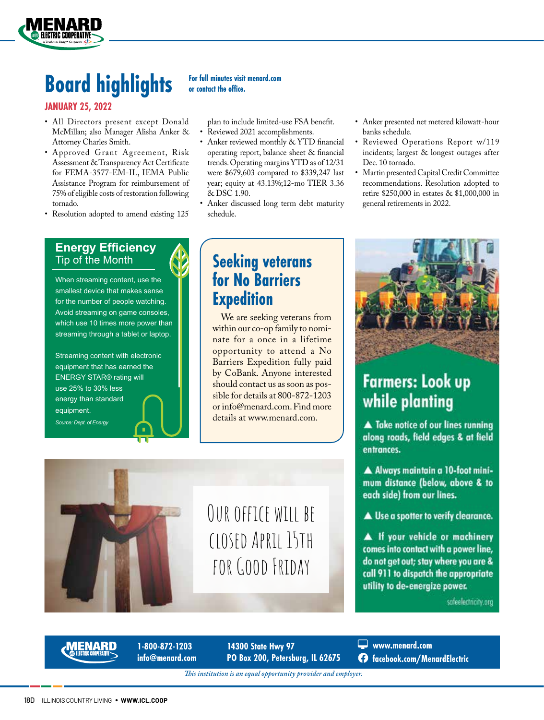

#### **JANUARY 25, 2022**

FIFCTRIC COOPFRATIV

- All Directors present except Donald McMillan; also Manager Alisha Anker & Attorney Charles Smith.
- Approved Grant Agreement, Risk Assessment & Transparency Act Certificate for FEMA-3577-EM-IL, IEMA Public Assistance Program for reimbursement of 75% of eligible costs of restoration following tornado.
- Resolution adopted to amend existing 125

#### **Energy Efficiency** Tip of the Month

When streaming content, use the smallest device that makes sense for the number of people watching. Avoid streaming on game consoles, which use 10 times more power than streaming through a tablet or laptop.

Streaming content with electronic equipment that has earned the ENERGY STAR® rating will use 25% to 30% less energy than standard equipment.

*Source: Dept. of Energy*

#### **or contact the office.**

plan to include limited-use FSA benefit.

- Reviewed 2021 accomplishments.
- Anker reviewed monthly & YTD financial operating report, balance sheet & financial trends. Operating margins YTD as of 12/31 were \$679,603 compared to \$339,247 last year; equity at 43.13%;12-mo TIER 3.36 & DSC 1.90.
- Anker discussed long term debt maturity schedule.
- Anker presented net metered kilowatt-hour banks schedule.
- Reviewed Operations Report w/119 incidents; largest & longest outages after Dec. 10 tornado.
- Martin presented Capital Credit Committee recommendations. Resolution adopted to retire \$250,000 in estates & \$1,000,000 in general retirements in 2022.

#### **Seeking veterans for No Barriers Expedition**

We are seeking veterans from within our co-op family to nominate for a once in a lifetime opportunity to attend a No Barriers Expedition fully paid by CoBank. Anyone interested should contact us as soon as possible for details at 800-872-1203 or info@menard.com. Find more details at www.menard.com.

OUR OFFICE WILL BE

closed April 15th

for Good Friday



### **Farmers: Look up** while planting

▲ Take notice of our lines running along roads, field edges & at field entrances.

A Always maintain a 10-foot minimum distance (below, above & to each side) from our lines.

Use a spotter to verify clearance.

A If your vehicle or machinery comes into contact with a power line, do not get out; stay where you are & call 911 to dispatch the appropriate utility to de-energize power.

**www.menard.com**

 **facebook.com/MenardElectric**

safeelectricity.org

**1-800-872-1203 info@menard.com**

**14300 State Hwy 97 PO Box 200, Petersburg, IL 62675**

*This institution is an equal opportunity provider and employer.*

18D ILLINOIS COUNTRY LIVING • **WWW.ICL.COOP**